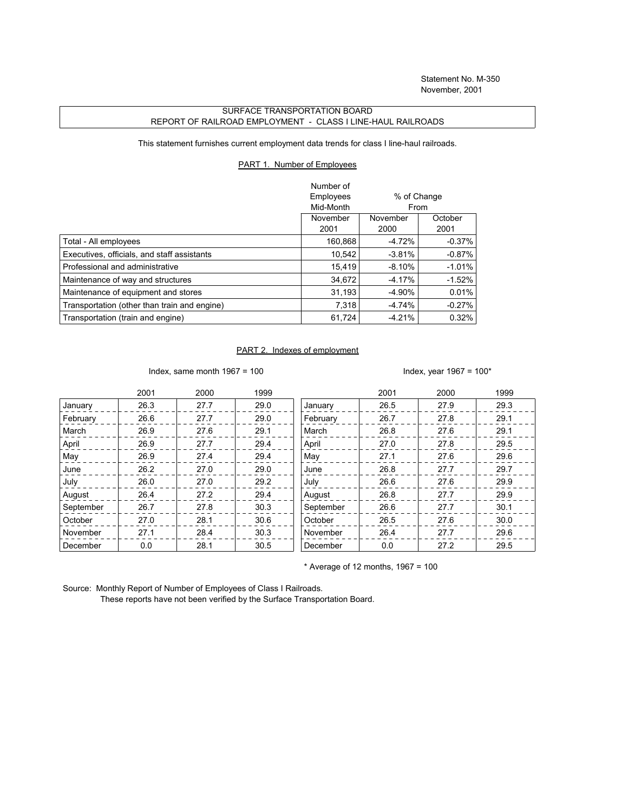## SURFACE TRANSPORTATION BOARD REPORT OF RAILROAD EMPLOYMENT - CLASS I LINE-HAUL RAILROADS

This statement furnishes current employment data trends for class I line-haul railroads.

## PART 1. Number of Employees

|                                              | Number of |             |           |
|----------------------------------------------|-----------|-------------|-----------|
|                                              | Employees | % of Change |           |
|                                              | Mid-Month | From        |           |
|                                              | November  | November    | October   |
|                                              | 2001      | 2000        | 2001      |
| Total - All employees                        | 160.868   | $-4.72%$    | $-0.37\%$ |
| Executives, officials, and staff assistants  | 10,542    | $-3.81%$    | $-0.87%$  |
| Professional and administrative              | 15.419    | $-8.10\%$   | $-1.01\%$ |
| Maintenance of way and structures            | 34.672    | $-4.17\%$   | $-1.52\%$ |
| Maintenance of equipment and stores          | 31.193    | -4.90%      | 0.01%     |
| Transportation (other than train and engine) | 7,318     | $-4.74%$    | $-0.27%$  |
| Transportation (train and engine)            | 61.724    | $-4.21%$    | 0.32%     |

## PART 2. Indexes of employment

Index, same month 1967 = 100  $\blacksquare$ 

|           | 2001 | 2000 | 1999 |           | 2001 | 2000 | 1999 |
|-----------|------|------|------|-----------|------|------|------|
| January   | 26.3 | 27.7 | 29.0 | January   | 26.5 | 27.9 | 29.3 |
| February  | 26.6 | 27.7 | 29.0 | February  | 26.7 | 27.8 | 29.1 |
| March     | 26.9 | 27.6 | 29.1 | March     | 26.8 | 27.6 | 29.1 |
| April     | 26.9 | 27.7 | 29.4 | April     | 27.0 | 27.8 | 29.5 |
| May       | 26.9 | 27.4 | 29.4 | May       | 27.1 | 27.6 | 29.6 |
| June      | 26.2 | 27.0 | 29.0 | June      | 26.8 | 27.7 | 29.7 |
| July      | 26.0 | 27.0 | 29.2 | July      | 26.6 | 27.6 | 29.9 |
| August    | 26.4 | 27.2 | 29.4 | August    | 26.8 | 27.7 | 29.9 |
| September | 26.7 | 27.8 | 30.3 | September | 26.6 | 27.7 | 30.1 |
| October   | 27.0 | 28.1 | 30.6 | October   | 26.5 | 27.6 | 30.0 |
| November  | 27.1 | 28.4 | 30.3 | November  | 26.4 | 27.7 | 29.6 |
| December  | 0.0  | 28.1 | 30.5 | December  | 0.0  | 27.2 | 29.5 |

 $*$  Average of 12 months, 1967 = 100

Source: Monthly Report of Number of Employees of Class I Railroads.

These reports have not been verified by the Surface Transportation Board.